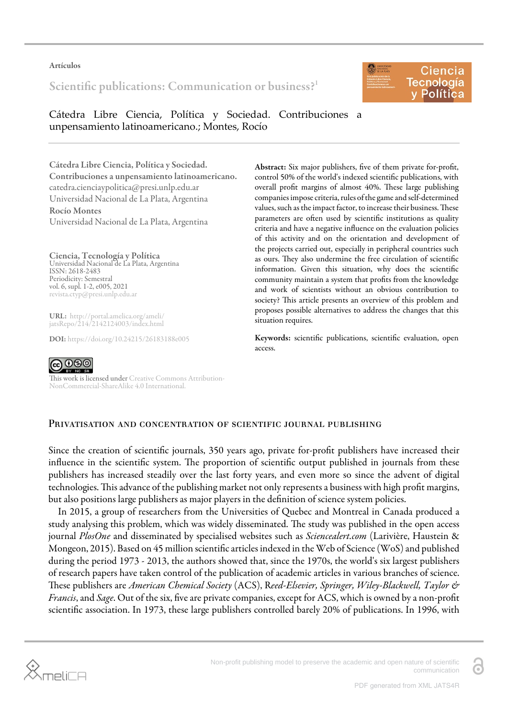#### Artículos

Scientific publications: Communication or business?<sup>[1](#page-6-0)</sup>



Cátedra Libre Ciencia, Política y Sociedad. Contribuciones a unpensamiento latinoamericano.; Montes, Rocío

Cátedra Libre Ciencia, Política y Sociedad. Contribuciones a unpensamiento latinoamericano. catedra.cienciaypolitica@presi.unlp.edu.ar Universidad Nacional de La Plata, Argentina

Rocío Montes Universidad Nacional de La Plata, Argentina

### Ciencia, Tecnología y Política

Universidad Nacional de La Plata, Argentina ISSN: 2618-2483 Periodicity: Semestral vol. 6, supl. 1-2, e005, 2021 revista.ctyp@presi.unlp.edu.ar

URL: [http://portal.amelica.org/ameli/](http://portal.amelica.org/ameli/jatsRepo/214/2142124003/index.html) [jatsRepo/214/2142124003/index.html](http://portal.amelica.org/ameli/jatsRepo/214/2142124003/index.html)

DOI: <https://doi.org/10.24215/26183188e005>

Abstract: Six major publishers, five of them private for-profit, control 50% of the world's indexed scientific publications, with overall profit margins of almost 40%. These large publishing companies impose criteria, rules of the game and self-determined values, such as the impact factor, to increase their business. These parameters are often used by scientific institutions as quality criteria and have a negative influence on the evaluation policies of this activity and on the orientation and development of the projects carried out, especially in peripheral countries such as ours. They also undermine the free circulation of scientific information. Given this situation, why does the scientific community maintain a system that profits from the knowledge and work of scientists without an obvious contribution to society? This article presents an overview of this problem and proposes possible alternatives to address the changes that this situation requires.

Keywords: scientific publications, scientific evaluation, open access.



This work is licensed under [Creative Commons Attribution-](https://creativecommons.org/licenses/by-nc-sa/4.0/)[NonCommercial-ShareAlike 4.0 International.](https://creativecommons.org/licenses/by-nc-sa/4.0/)

# PRIVATISATION AND CONCENTRATION OF SCIENTIFIC JOURNAL PUBLISHING

Since the creation of scientific journals, 350 years ago, private for-profit publishers have increased their influence in the scientific system. The proportion of scientific output published in journals from these publishers has increased steadily over the last forty years, and even more so since the advent of digital technologies. This advance of the publishing market not only represents a business with high profit margins, but also positions large publishers as major players in the definition of science system policies.

In 2015, a group of researchers from the Universities of Quebec and Montreal in Canada produced a study analysing this problem, which was widely disseminated. The study was published in the open access journal *PlosOne* and disseminated by specialised websites such as *Sciencealert.com* [\(Larivière, Haustein &](#page-6-1) [Mongeon, 2015\)](#page-6-1). Based on 45 million scientific articles indexed in the Web of Science (WoS) and published during the period 1973 - 2013, the authors showed that, since the 1970s, the world's six largest publishers of research papers have taken control of the publication of academic articles in various branches of science. ese publishers are *American Chemical Society* (ACS), R*eed-Elsevier, Springer, Wiley-Blackwell, Taylor & Francis*, and *Sage*. Out of the six, five are private companies, except for ACS, which is owned by a non-profit scientific association. In 1973, these large publishers controlled barely 20% of publications. In 1996, with

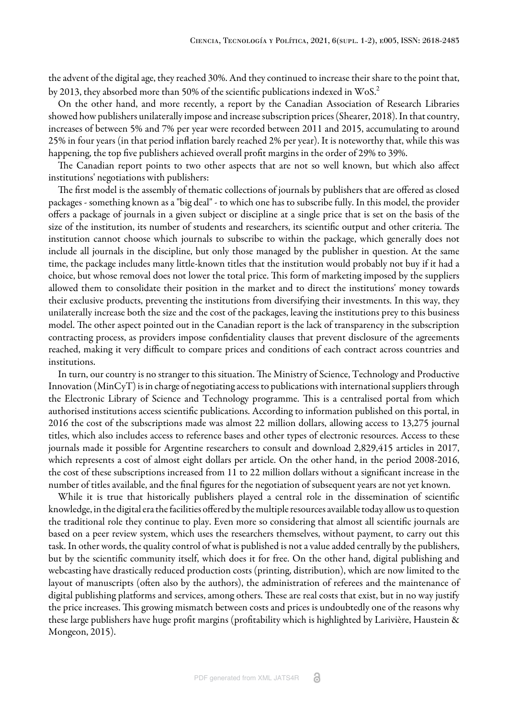the advent of the digital age, they reached 30%. And they continued to increase their share to the point that, by 2013, they absorbed more than 50% of the scientific publications indexed in WoS.[2](#page-6-2)

On the other hand, and more recently, a report by the Canadian Association of Research Libraries showed how publishers unilaterally impose and increase subscription prices ([Shearer, 2018](#page-6-3)). In that country, increases of between 5% and 7% per year were recorded between 2011 and 2015, accumulating to around 25% in four years (in that period inflation barely reached 2% per year). It is noteworthy that, while this was happening, the top five publishers achieved overall profit margins in the order of 29% to 39%.

The Canadian report points to two other aspects that are not so well known, but which also affect institutions' negotiations with publishers:

The first model is the assembly of thematic collections of journals by publishers that are offered as closed packages - something known as a "big deal" - to which one has to subscribe fully. In this model, the provider offers a package of journals in a given subject or discipline at a single price that is set on the basis of the size of the institution, its number of students and researchers, its scientific output and other criteria. The institution cannot choose which journals to subscribe to within the package, which generally does not include all journals in the discipline, but only those managed by the publisher in question. At the same time, the package includes many little-known titles that the institution would probably not buy if it had a choice, but whose removal does not lower the total price. This form of marketing imposed by the suppliers allowed them to consolidate their position in the market and to direct the institutions' money towards their exclusive products, preventing the institutions from diversifying their investments. In this way, they unilaterally increase both the size and the cost of the packages, leaving the institutions prey to this business model. The other aspect pointed out in the Canadian report is the lack of transparency in the subscription contracting process, as providers impose confidentiality clauses that prevent disclosure of the agreements reached, making it very difficult to compare prices and conditions of each contract across countries and institutions.

In turn, our country is no stranger to this situation. The Ministry of Science, Technology and Productive Innovation (MinCyT) is in charge of negotiating access to publications with international suppliers through the Electronic Library of Science and Technology programme. This is a centralised portal from which authorised institutions access scientific publications. According to information published on this portal, in 2016 the cost of the subscriptions made was almost 22 million dollars, allowing access to 13,275 journal titles, which also includes access to reference bases and other types of electronic resources. Access to these journals made it possible for Argentine researchers to consult and download 2,829,415 articles in 2017, which represents a cost of almost eight dollars per article. On the other hand, in the period 2008-2016, the cost of these subscriptions increased from 11 to 22 million dollars without a significant increase in the number of titles available, and the final figures for the negotiation of subsequent years are not yet known.

While it is true that historically publishers played a central role in the dissemination of scientific knowledge, in the digital era the facilities offered by the multiple resources available today allow us to question the traditional role they continue to play. Even more so considering that almost all scientific journals are based on a peer review system, which uses the researchers themselves, without payment, to carry out this task. In other words, the quality control of what is published is not a value added centrally by the publishers, but by the scientific community itself, which does it for free. On the other hand, digital publishing and webcasting have drastically reduced production costs (printing, distribution), which are now limited to the layout of manuscripts (often also by the authors), the administration of referees and the maintenance of digital publishing platforms and services, among others. These are real costs that exist, but in no way justify the price increases. This growing mismatch between costs and prices is undoubtedly one of the reasons why these large publishers have huge profit margins [\(profitability which is highlighted by Larivière, Haustein &](#page-6-1) [Mongeon, 2015](#page-6-1)).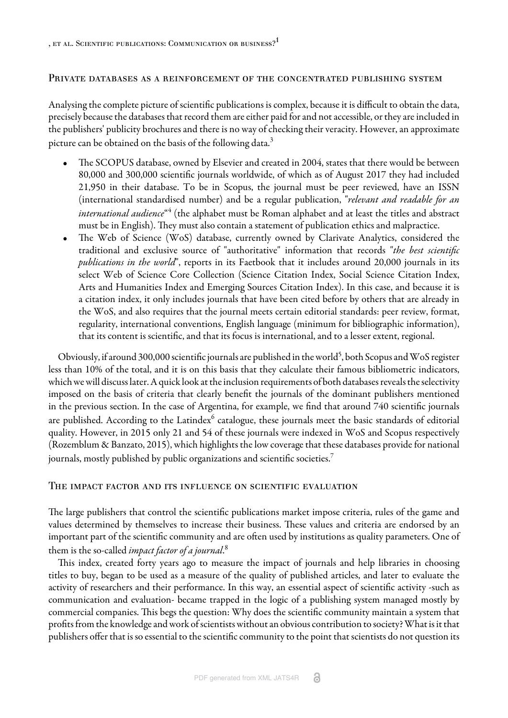### Private databases as a reinforcement of the concentrated publishing system

Analysing the complete picture of scientific publications is complex, because it is difficult to obtain the data, precisely because the databases that record them are either paid for and not accessible, or they are included in the publishers' publicity brochures and there is no way of checking their veracity. However, an approximate picture can be obtained on the basis of the following data.<sup>[3](#page-6-4)</sup>

- The SCOPUS database, owned by Elsevier and created in 2004, states that there would be between 80,000 and 300,000 scientific journals worldwide, of which as of August 2017 they had included 21,950 in their database. To be in Scopus, the journal must be peer reviewed, have an ISSN (international standardised number) and be a regular publication, "*relevant and readable for an international audience*"<sup>[4](#page-6-5)</sup> (the alphabet must be Roman alphabet and at least the titles and abstract must be in English). They must also contain a statement of publication ethics and malpractice.
- The Web of Science (WoS) database, currently owned by Clarivate Analytics, considered the traditional and exclusive source of "authoritative" information that records "*the best scientific publications in the world*", reports in its Faetbook that it includes around 20,000 journals in its select Web of Science Core Collection (Science Citation Index, Social Science Citation Index, Arts and Humanities Index and Emerging Sources Citation Index). In this case, and because it is a citation index, it only includes journals that have been cited before by others that are already in the WoS, and also requires that the journal meets certain editorial standards: peer review, format, regularity, international conventions, English language (minimum for bibliographic information), that its content is scientific, and that its focus is international, and to a lesser extent, regional.

Obviously, if around 300,000 scientific journals are published in the world<sup>[5](#page-6-6)</sup>, both Scopus and WoS register less than 10% of the total, and it is on this basis that they calculate their famous bibliometric indicators, which we will discuss later. A quick look at the inclusion requirements of both databases reveals the selectivity imposed on the basis of criteria that clearly benefit the journals of the dominant publishers mentioned in the previous section. In the case of Argentina, for example, we find that around 740 scientific journals are published. According to the Latindex $^6$  $^6$  catalogue, these journals meet the basic standards of editorial quality. However, in 2015 only 21 and 54 of these journals were indexed in WoS and Scopus respectively ([Rozemblum & Banzato, 2015](#page-6-8)), which highlights the low coverage that these databases provide for national journals, mostly published by public organizations and scientific societies.[7](#page-7-0)

#### The impact factor and its influence on scientific evaluation

The large publishers that control the scientific publications market impose criteria, rules of the game and values determined by themselves to increase their business. These values and criteria are endorsed by an important part of the scientific community and are often used by institutions as quality parameters. One of them is the so-called *impact factor of a journal*. [8](#page-7-1)

This index, created forty years ago to measure the impact of journals and help libraries in choosing titles to buy, began to be used as a measure of the quality of published articles, and later to evaluate the activity of researchers and their performance. In this way, an essential aspect of scientific activity -such as communication and evaluation- became trapped in the logic of a publishing system managed mostly by commercial companies. This begs the question: Why does the scientific community maintain a system that profits from the knowledge and work of scientists without an obvious contribution to society? What is it that publishers offer that is so essential to the scientific community to the point that scientists do not question its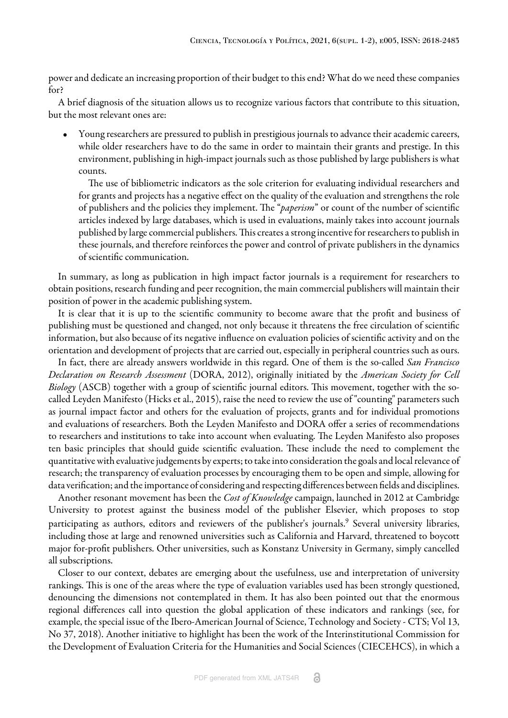power and dedicate an increasing proportion of their budget to this end? What do we need these companies for?

A brief diagnosis of the situation allows us to recognize various factors that contribute to this situation, but the most relevant ones are:

• Young researchers are pressured to publish in prestigious journals to advance their academic careers, while older researchers have to do the same in order to maintain their grants and prestige. In this environment, publishing in high-impact journals such as those published by large publishers is what counts.

The use of bibliometric indicators as the sole criterion for evaluating individual researchers and for grants and projects has a negative effect on the quality of the evaluation and strengthens the role of publishers and the policies they implement. The "*paperism*" or count of the number of scientific articles indexed by large databases, which is used in evaluations, mainly takes into account journals published by large commercial publishers. This creates a strong incentive for researchers to publish in these journals, and therefore reinforces the power and control of private publishers in the dynamics of scientific communication.

In summary, as long as publication in high impact factor journals is a requirement for researchers to obtain positions, research funding and peer recognition, the main commercial publishers will maintain their position of power in the academic publishing system.

It is clear that it is up to the scientific community to become aware that the profit and business of publishing must be questioned and changed, not only because it threatens the free circulation of scientific information, but also because of its negative influence on evaluation policies of scientific activity and on the orientation and development of projects that are carried out, especially in peripheral countries such as ours.

In fact, there are already answers worldwide in this regard. One of them is the so-called *San Francisco Declaration on Research Assessment* [\(DORA, 2012](#page-6-9)), originally initiated by the *American Society for Cell Biology* (ASCB) together with a group of scientific journal editors. This movement, together with the socalled Leyden Manifesto ([Hicks et al., 2015\)](#page-6-10), raise the need to review the use of "counting" parameters such as journal impact factor and others for the evaluation of projects, grants and for individual promotions and evaluations of researchers. Both the Leyden Manifesto and DORA offer a series of recommendations to researchers and institutions to take into account when evaluating. The Leyden Manifesto also proposes ten basic principles that should guide scientific evaluation. These include the need to complement the quantitative with evaluative judgements by experts; to take into consideration the goals and local relevance of research; the transparency of evaluation processes by encouraging them to be open and simple, allowing for data verification; and the importance of considering and respecting differences between fields and disciplines.

Another resonant movement has been the *Cost of Knowledge* campaign, launched in 2012 at Cambridge University to protest against the business model of the publisher Elsevier, which proposes to stop participating as authors, editors and reviewers of the publisher's journals. $^9$  $^9$  Several university libraries, including those at large and renowned universities such as California and Harvard, threatened to boycott major for-profit publishers. Other universities, such as Konstanz University in Germany, simply cancelled all subscriptions.

Closer to our context, debates are emerging about the usefulness, use and interpretation of university rankings. This is one of the areas where the type of evaluation variables used has been strongly questioned, denouncing the dimensions not contemplated in them. It has also been pointed out that the enormous regional differences call into question the global application of these indicators and rankings (see, for example, the special issue of the Ibero-American Journal of Science, Technology and Society - CTS; Vol 13, No 37, 2018). Another initiative to highlight has been the work of the Interinstitutional Commission for the Development of Evaluation Criteria for the Humanities and Social Sciences (CIECEHCS), in which a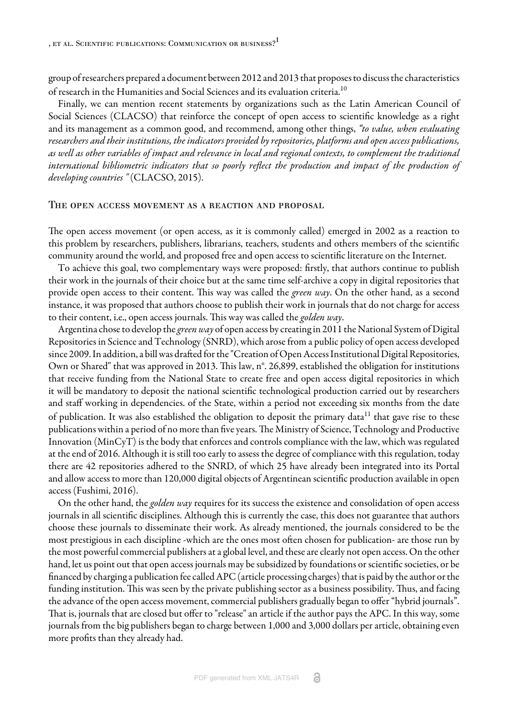group of researchers prepared a document between 2012 and 2013 that proposes to discuss the characteristics of research in the Humanities and Social Sciences and its evaluation criteria.<sup>[10](#page-7-3)</sup>

Finally, we can mention recent statements by organizations such as the Latin American Council of Social Sciences (CLACSO) that reinforce the concept of open access to scientific knowledge as a right and its management as a common good, and recommend, among other things, *"to value, when evaluating researchers and their institutions, the indicators provided by repositories, platforms and open access publications, as well as other variables of impact and relevance in local and regional contexts, to complement the traditional international bibliometric indicators that so poorly reflect the production and impact of the production of developing countries "* ([CLACSO, 2015](#page-6-11)).

#### The open access movement as a reaction and proposal

The open access movement (or open access, as it is commonly called) emerged in 2002 as a reaction to this problem by researchers, publishers, librarians, teachers, students and others members of the scientific community around the world, and proposed free and open access to scientific literature on the Internet.

To achieve this goal, two complementary ways were proposed: firstly, that authors continue to publish their work in the journals of their choice but at the same time self-archive a copy in digital repositories that provide open access to their content. This way was called the *green way*. On the other hand, as a second instance, it was proposed that authors choose to publish their work in journals that do not charge for access to their content, i.e., open access journals. This way was called the *golden way*.

Argentina chose to develop the *green way* of open access by creating in 2011 the National System of Digital Repositories in Science and Technology (SNRD), which arose from a public policy of open access developed since 2009. In addition, a bill was drafted for the "Creation of Open Access Institutional Digital Repositories, Own or Shared" that was approved in 2013. This law, n°. 26,899, established the obligation for institutions that receive funding from the National State to create free and open access digital repositories in which it will be mandatory to deposit the national scientific technological production carried out by researchers and staff working in dependencies. of the State, within a period not exceeding six months from the date of publication. It was also established the obligation to deposit the primary data<sup>[11](#page-7-4)</sup> that gave rise to these publications within a period of no more than five years. The Ministry of Science, Technology and Productive Innovation (MinCyT) is the body that enforces and controls compliance with the law, which was regulated at the end of 2016. Although it is still too early to assess the degree of compliance with this regulation, today there are 42 repositories adhered to the SNRD, of which 25 have already been integrated into its Portal and allow access to more than 120,000 digital objects of Argentinean scientific production available in open access ([Fushimi, 2016](#page-6-12)).

On the other hand, the *golden way* requires for its success the existence and consolidation of open access journals in all scientific disciplines. Although this is currently the case, this does not guarantee that authors choose these journals to disseminate their work. As already mentioned, the journals considered to be the most prestigious in each discipline -which are the ones most often chosen for publication- are those run by the most powerful commercial publishers at a global level, and these are clearly not open access. On the other hand, let us point out that open access journals may be subsidized by foundations or scientific societies, or be financed by charging a publication fee called APC (article processing charges) that is paid by the author or the funding institution. This was seen by the private publishing sector as a business possibility. Thus, and facing the advance of the open access movement, commercial publishers gradually began to offer "hybrid journals". That is, journals that are closed but offer to "release" an article if the author pays the APC. In this way, some journals from the big publishers began to charge between 1,000 and 3,000 dollars per article, obtaining even more profits than they already had.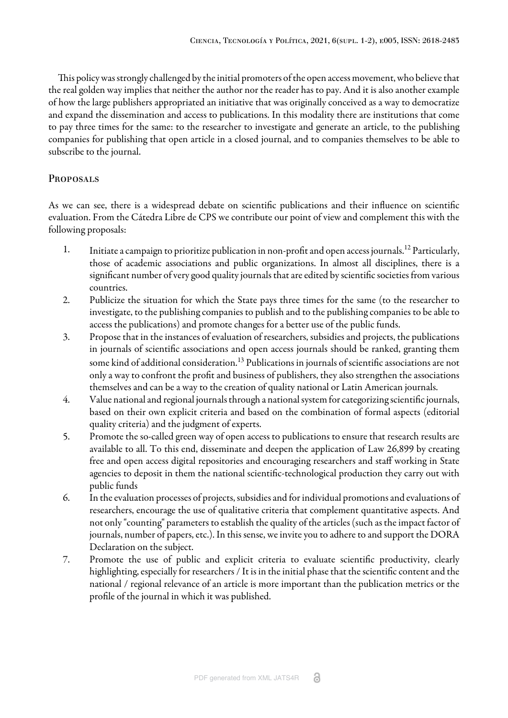This policy was strongly challenged by the initial promoters of the open access movement, who believe that the real golden way implies that neither the author nor the reader has to pay. And it is also another example of how the large publishers appropriated an initiative that was originally conceived as a way to democratize and expand the dissemination and access to publications. In this modality there are institutions that come to pay three times for the same: to the researcher to investigate and generate an article, to the publishing companies for publishing that open article in a closed journal, and to companies themselves to be able to subscribe to the journal.

# **PROPOSALS**

As we can see, there is a widespread debate on scientific publications and their influence on scientific evaluation. From the Cátedra Libre de CPS we contribute our point of view and complement this with the following proposals:

- 1. Initiate a campaign to prioritize publication in non-profit and open access journals.<sup>[12](#page-7-5)</sup> Particularly, those of academic associations and public organizations. In almost all disciplines, there is a significant number of very good quality journals that are edited by scientific societies from various countries.
- 2. Publicize the situation for which the State pays three times for the same (to the researcher to investigate, to the publishing companies to publish and to the publishing companies to be able to access the publications) and promote changes for a better use of the public funds.
- 3. Propose that in the instances of evaluation of researchers, subsidies and projects, the publications in journals of scientific associations and open access journals should be ranked, granting them some kind of additional consideration.<sup>[13](#page-7-6)</sup> Publications in journals of scientific associations are not only a way to confront the profit and business of publishers, they also strengthen the associations themselves and can be a way to the creation of quality national or Latin American journals.
- 4. Value national and regional journals through a national system for categorizing scientific journals, based on their own explicit criteria and based on the combination of formal aspects (editorial quality criteria) and the judgment of experts.
- 5. Promote the so-called green way of open access to publications to ensure that research results are available to all. To this end, disseminate and deepen the application of Law 26,899 by creating free and open access digital repositories and encouraging researchers and staff working in State agencies to deposit in them the national scientific-technological production they carry out with public funds
- 6. In the evaluation processes of projects, subsidies and for individual promotions and evaluations of researchers, encourage the use of qualitative criteria that complement quantitative aspects. And not only "counting" parameters to establish the quality of the articles (such as the impact factor of journals, number of papers, etc.). In this sense, we invite you to adhere to and support the DORA Declaration on the subject.
- 7. Promote the use of public and explicit criteria to evaluate scientific productivity, clearly highlighting, especially for researchers / It is in the initial phase that the scientific content and the national / regional relevance of an article is more important than the publication metrics or the profile of the journal in which it was published.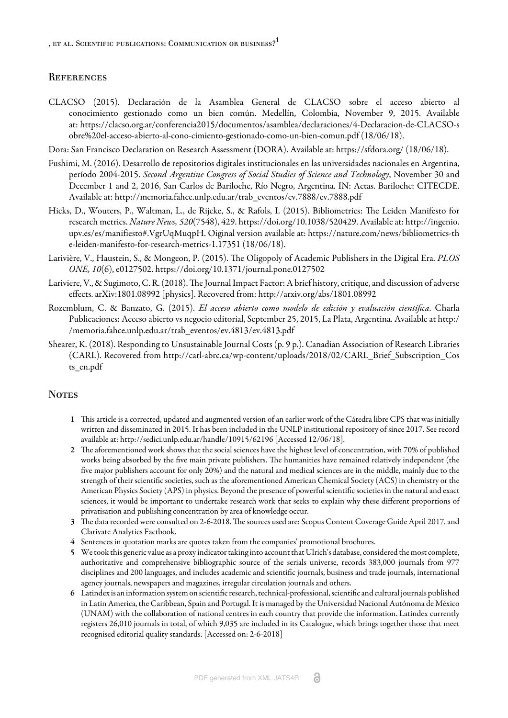### **REFERENCES**

<span id="page-6-11"></span>CLACSO (2015). Declaración de la Asamblea General de CLACSO sobre el acceso abierto al conocimiento gestionado como un bien común. Medellín, Colombia, November 9, 2015. Available at: [https://clacso.org.ar/conferencia2015/documentos/asamblea/declaraciones/4-Declaracion-de-CLACSO-s](https://clacso.org.ar/conferencia2015/documentos/asamblea/declaraciones/4-Declaracion-de-CLACSO-sobre%20el-acceso-abierto-al-cono-cimiento-gestionado-como-un-bien-comun.pdf) [obre%20el-acceso-abierto-al-cono-cimiento-gestionado-como-un-bien-comun.pdf](https://clacso.org.ar/conferencia2015/documentos/asamblea/declaraciones/4-Declaracion-de-CLACSO-sobre%20el-acceso-abierto-al-cono-cimiento-gestionado-como-un-bien-comun.pdf) (18/06/18).

<span id="page-6-9"></span>Dora: San Francisco Declaration on Research Assessment (DORA). Available at: <https://sfdora.org/> (18/06/18).

- <span id="page-6-12"></span>Fushimi, M. (2016). Desarrollo de repositorios digitales institucionales en las universidades nacionales en Argentina, período 2004-2015. *Second Argentine Congress of Social Studies of Science and Technology*, November 30 and December 1 and 2, 2016, San Carlos de Bariloche, Río Negro, Argentina. IN: Actas. Bariloche: CITECDE. Available at: [http://memoria.fahce.unlp.edu.ar/trab\\_eventos/ev.7888/ev.7888.pdf](http://memoria.fahce.unlp.edu.ar/trab_eventos/ev.7888/ev.7888.pdf)
- <span id="page-6-10"></span>Hicks, D., Wouters, P., Waltman, L., de Rijcke, S., & Rafols, I. (2015). Bibliometrics: The Leiden Manifesto for research metrics. *Nature News, 520*(7548), 429. [https://doi.org/10.1038/520429.](https://doi.org/10.1038/520429) Available at: [http://ingenio.](http://ingenio.upv.es/es/manifiesto#.VgrUqMuqpH) [upv.es/es/manifiesto#.VgrUqMuqpH](http://ingenio.upv.es/es/manifiesto#.VgrUqMuqpH). Oiginal version available at: [https://nature.com/news/bibliometrics-th](https://nature.com/news/bibliometrics-the-leiden-manifesto-for-research-metrics-1.17351) [e-leiden-manifesto-for-research-metrics-1.17351](https://nature.com/news/bibliometrics-the-leiden-manifesto-for-research-metrics-1.17351) (18/06/18).
- <span id="page-6-1"></span>Larivière, V., Haustein, S., & Mongeon, P. (2015). The Oligopoly of Academic Publishers in the Digital Era. *PLOS ONE, 10*(6), e0127502.<https://doi.org/10.1371/journal.pone.0127502>
- <span id="page-6-13"></span>Lariviere, V., & Sugimoto, C. R. (2018). The Journal Impact Factor: A brief history, critique, and discussion of adverse effects. arXiv:1801.08992 [physics]. Recovered from: <http://arxiv.org/abs/1801.08992>
- <span id="page-6-8"></span>Rozemblum, C. & Banzato, G. (2015). *El acceso abierto como modelo de edición y evaluación científica*. Charla Publicaciones: Acceso abierto vs negocio editorial, September 25, 2015, La Plata, Argentina. Available at [http:/](http://memoria.fahce.unlp.edu.ar/trab_eventos/ev.4813/ev.4813.pdf) [/memoria.fahce.unlp.edu.ar/trab\\_eventos/ev.4813/ev.4813.pdf](http://memoria.fahce.unlp.edu.ar/trab_eventos/ev.4813/ev.4813.pdf)
- <span id="page-6-3"></span>Shearer, K. (2018). Responding to Unsustainable Journal Costs (p. 9 p.). Canadian Association of Research Libraries (CARL). Recovered from [http://carl-abrc.ca/wp-content/uploads/2018/02/CARL\\_Brief\\_Subscription\\_Cos](http://carl-abrc.ca/wp-content/uploads/2018/02/CARL_Brief_Subscription_Costs_en.pdf) [ts\\_en.pdf](http://carl-abrc.ca/wp-content/uploads/2018/02/CARL_Brief_Subscription_Costs_en.pdf)

#### **NOTES**

- <span id="page-6-0"></span>1 This article is a corrected, updated and augmented version of an earlier work of the Cátedra libre CPS that was initially written and disseminated in 2015. It has been included in the UNLP institutional repository of since 2017. See record available at: <http://sedici.unlp.edu.ar/handle/10915/62196> [Accessed 12/06/18].
- <span id="page-6-2"></span>2 The aforementioned work shows that the social sciences have the highest level of concentration, with 70% of published works being absorbed by the five main private publishers. The humanities have remained relatively independent (the five major publishers account for only 20%) and the natural and medical sciences are in the middle, mainly due to the strength of their scientific societies, such as the aforementioned American Chemical Society (ACS) in chemistry or the American Physics Society (APS) in physics. Beyond the presence of powerful scientific societies in the natural and exact sciences, it would be important to undertake research work that seeks to explain why these different proportions of privatisation and publishing concentration by area of knowledge occur.
- <span id="page-6-4"></span>3 The data recorded were consulted on 2-6-2018. The sources used are: Scopus Content Coverage Guide April 2017, and Clarivate Analytics Factbook.
- <span id="page-6-5"></span>4 Sentences in quotation marks are quotes taken from the companies' promotional brochures.
- <span id="page-6-6"></span>5 We took this generic value as a proxy indicator taking into account that Ulrich's database, considered the most complete, authoritative and comprehensive bibliographic source of the serials universe, records 383,000 journals from 977 disciplines and 200 languages, and includes academic and scientific journals, business and trade journals, international agency journals, newspapers and magazines, irregular circulation journals and others.
- <span id="page-6-7"></span>6 Latindex is an information system on scientific research, technical-professional, scientific and cultural journals published in Latin America, the Caribbean, Spain and Portugal. It is managed by the Universidad Nacional Autónoma de México (UNAM) with the collaboration of national centres in each country that provide the information. Latindex currently registers 26,010 journals in total, of which 9,035 are included in its Catalogue, which brings together those that meet recognised editorial quality standards. [Accessed on: 2-6-2018]